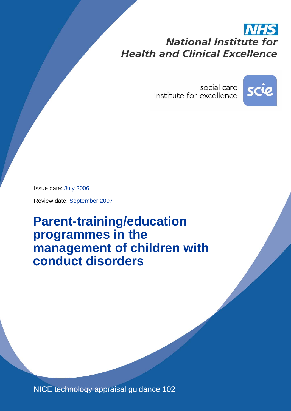# **National Institute for Health and Clinical Excellence**

social care institute for excellence



Issue date: July 2006

Review date: September 2007

**Parent-training/education programmes in the management of children with conduct disorders** 

NICE technology appraisal guidance 102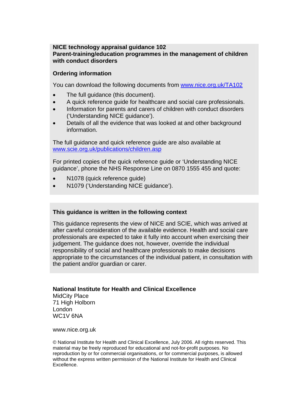#### **NICE technology appraisal guidance 102 Parent-training/education programmes in the management of children with conduct disorders**

#### **Ordering information**

You can download the following documents from [www.nice.org.uk/TA102](http://www.nice.org.uk/TA102)

- The full quidance (this document).
- A quick reference guide for healthcare and social care professionals.
- Information for parents and carers of children with conduct disorders ('Understanding NICE guidance').
- Details of all the evidence that was looked at and other background information.

The full guidance and quick reference guide are also available at [www.scie.org.uk/publications/children.asp](http://www.scie.org.uk/publications/children.asp)

For printed copies of the quick reference guide or 'Understanding NICE guidance', phone the NHS Response Line on 0870 1555 455 and quote:

- N1078 (quick reference quide)
- N1079 ('Understanding NICE guidance').

#### **This guidance is written in the following context**

This guidance represents the view of NICE and SCIE, which was arrived at after careful consideration of the available evidence. Health and social care professionals are expected to take it fully into account when exercising their judgement. The guidance does not, however, override the individual responsibility of social and healthcare professionals to make decisions appropriate to the circumstances of the individual patient, in consultation with the patient and/or guardian or carer.

#### **National Institute for Health and Clinical Excellence**

MidCity Place 71 High Holborn London WC1V 6NA

www.nice.org.uk

© National Institute for Health and Clinical Excellence, July 2006. All rights reserved. This material may be freely reproduced for educational and not-for-profit purposes. No reproduction by or for commercial organisations, or for commercial purposes, is allowed without the express written permission of the National Institute for Health and Clinical Excellence.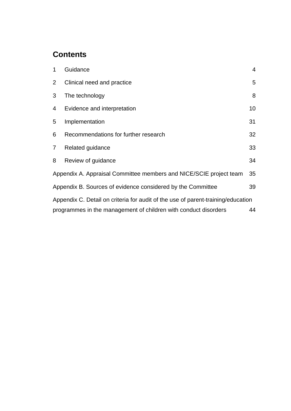### **Contents**

| 1                                                                                | Guidance                             | $\overline{4}$ |  |  |  |
|----------------------------------------------------------------------------------|--------------------------------------|----------------|--|--|--|
| $\overline{2}$                                                                   | Clinical need and practice           | 5              |  |  |  |
| 3                                                                                | The technology                       | 8              |  |  |  |
| 4                                                                                | Evidence and interpretation          | 10             |  |  |  |
| 5                                                                                | Implementation                       | 31             |  |  |  |
| 6                                                                                | Recommendations for further research | 32             |  |  |  |
| $\overline{7}$                                                                   | Related guidance                     | 33             |  |  |  |
| 8                                                                                | Review of guidance                   | 34             |  |  |  |
| Appendix A. Appraisal Committee members and NICE/SCIE project team<br>35         |                                      |                |  |  |  |
| Appendix B. Sources of evidence considered by the Committee<br>39                |                                      |                |  |  |  |
| Appendix C. Detail on criteria for audit of the use of parent-training/education |                                      |                |  |  |  |
| programmes in the management of children with conduct disorders<br>44            |                                      |                |  |  |  |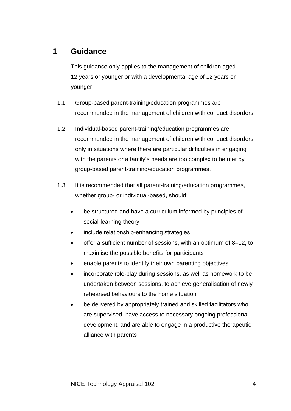### **1 Guidance**

This guidance only applies to the management of children aged 12 years or younger or with a developmental age of 12 years or younger.

- 1.1 Group-based parent-training/education programmes are recommended in the management of children with conduct disorders.
- 1.2 Individual-based parent-training/education programmes are recommended in the management of children with conduct disorders only in situations where there are particular difficulties in engaging with the parents or a family's needs are too complex to be met by group-based parent-training/education programmes.
- 1.3 It is recommended that all parent-training/education programmes, whether group- or individual-based, should:
	- be structured and have a curriculum informed by principles of social-learning theory
	- include relationship-enhancing strategies
	- offer a sufficient number of sessions, with an optimum of 8–12, to maximise the possible benefits for participants
	- enable parents to identify their own parenting objectives
	- incorporate role-play during sessions, as well as homework to be undertaken between sessions, to achieve generalisation of newly rehearsed behaviours to the home situation
	- be delivered by appropriately trained and skilled facilitators who are supervised, have access to necessary ongoing professional development, and are able to engage in a productive therapeutic alliance with parents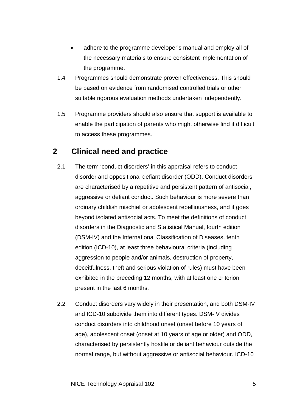- adhere to the programme developer's manual and employ all of the necessary materials to ensure consistent implementation of the programme.
- 1.4 Programmes should demonstrate proven effectiveness. This should be based on evidence from randomised controlled trials or other suitable rigorous evaluation methods undertaken independently.
- 1.5 Programme providers should also ensure that support is available to enable the participation of parents who might otherwise find it difficult to access these programmes.

### **2 Clinical need and practice**

- 2.1 The term 'conduct disorders' in this appraisal refers to conduct disorder and oppositional defiant disorder (ODD). Conduct disorders are characterised by a repetitive and persistent pattern of antisocial, aggressive or defiant conduct. Such behaviour is more severe than ordinary childish mischief or adolescent rebelliousness, and it goes beyond isolated antisocial acts. To meet the definitions of conduct disorders in the Diagnostic and Statistical Manual, fourth edition (DSM-IV) and the International Classification of Diseases, tenth edition (ICD-10), at least three behavioural criteria (including aggression to people and/or animals, destruction of property, deceitfulness, theft and serious violation of rules) must have been exhibited in the preceding 12 months, with at least one criterion present in the last 6 months.
- 2.2 Conduct disorders vary widely in their presentation, and both DSM-IV and ICD-10 subdivide them into different types. DSM-IV divides conduct disorders into childhood onset (onset before 10 years of age), adolescent onset (onset at 10 years of age or older) and ODD, characterised by persistently hostile or defiant behaviour outside the normal range, but without aggressive or antisocial behaviour. ICD-10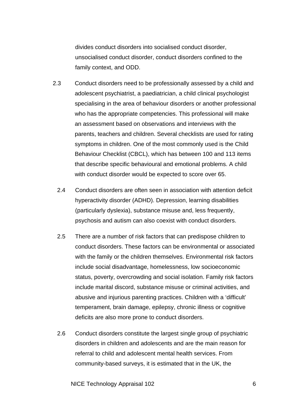divides conduct disorders into socialised conduct disorder, unsocialised conduct disorder, conduct disorders confined to the family context, and ODD.

- 2.3 Conduct disorders need to be professionally assessed by a child and adolescent psychiatrist, a paediatrician, a child clinical psychologist specialising in the area of behaviour disorders or another professional who has the appropriate competencies. This professional will make an assessment based on observations and interviews with the parents, teachers and children. Several checklists are used for rating symptoms in children. One of the most commonly used is the Child Behaviour Checklist (CBCL), which has between 100 and 113 items that describe specific behavioural and emotional problems. A child with conduct disorder would be expected to score over 65.
	- 2.4 Conduct disorders are often seen in association with attention deficit hyperactivity disorder (ADHD). Depression, learning disabilities (particularly dyslexia), substance misuse and, less frequently, psychosis and autism can also coexist with conduct disorders.
	- 2.5 There are a number of risk factors that can predispose children to conduct disorders. These factors can be environmental or associated with the family or the children themselves. Environmental risk factors include social disadvantage, homelessness, low socioeconomic status, poverty, overcrowding and social isolation. Family risk factors include marital discord, substance misuse or criminal activities, and abusive and injurious parenting practices. Children with a 'difficult' temperament, brain damage, epilepsy, chronic illness or cognitive deficits are also more prone to conduct disorders.
	- 2.6 Conduct disorders constitute the largest single group of psychiatric disorders in children and adolescents and are the main reason for referral to child and adolescent mental health services. From community-based surveys, it is estimated that in the UK, the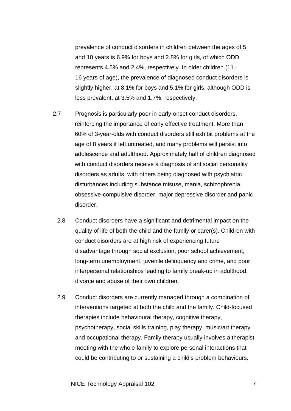prevalence of conduct disorders in children between the ages of 5 and 10 years is 6.9% for boys and 2.8% for girls, of which ODD represents 4.5% and 2.4%, respectively. In older children (11– 16 years of age), the prevalence of diagnosed conduct disorders is slightly higher, at 8.1% for boys and 5.1% for girls, although ODD is less prevalent, at 3.5% and 1.7%, respectively.

- 2.7 Prognosis is particularly poor in early-onset conduct disorders, reinforcing the importance of early effective treatment. More than 60% of 3-year-olds with conduct disorders still exhibit problems at the age of 8 years if left untreated, and many problems will persist into adolescence and adulthood. Approximately half of children diagnosed with conduct disorders receive a diagnosis of antisocial personality disorders as adults, with others being diagnosed with psychiatric disturbances including substance misuse, mania, schizophrenia, obsessive-compulsive disorder, major depressive disorder and panic disorder.
	- 2.8 Conduct disorders have a significant and detrimental impact on the quality of life of both the child and the family or carer(s). Children with conduct disorders are at high risk of experiencing future disadvantage through social exclusion, poor school achievement, long-term unemployment, juvenile delinquency and crime, and poor interpersonal relationships leading to family break-up in adulthood, divorce and abuse of their own children.
	- 2.9 Conduct disorders are currently managed through a combination of interventions targeted at both the child and the family. Child-focused therapies include behavioural therapy, cognitive therapy, psychotherapy, social skills training, play therapy, music/art therapy and occupational therapy. Family therapy usually involves a therapist meeting with the whole family to explore personal interactions that could be contributing to or sustaining a child's problem behaviours.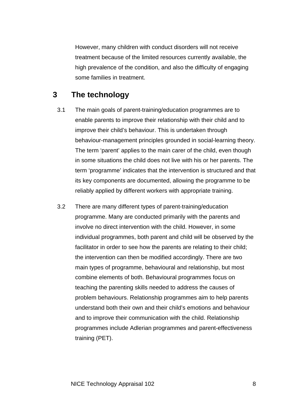However, many children with conduct disorders will not receive treatment because of the limited resources currently available, the high prevalence of the condition, and also the difficulty of engaging some families in treatment.

### **3 The technology**

- 3.1 The main goals of parent-training/education programmes are to enable parents to improve their relationship with their child and to improve their child's behaviour. This is undertaken through behaviour-management principles grounded in social-learning theory. The term 'parent' applies to the main carer of the child, even though in some situations the child does not live with his or her parents. The term 'programme' indicates that the intervention is structured and that its key components are documented, allowing the programme to be reliably applied by different workers with appropriate training.
- 3.2 There are many different types of parent-training/education programme. Many are conducted primarily with the parents and involve no direct intervention with the child. However, in some individual programmes, both parent and child will be observed by the facilitator in order to see how the parents are relating to their child; the intervention can then be modified accordingly. There are two main types of programme, behavioural and relationship, but most combine elements of both. Behavioural programmes focus on teaching the parenting skills needed to address the causes of problem behaviours. Relationship programmes aim to help parents understand both their own and their child's emotions and behaviour and to improve their communication with the child. Relationship programmes include Adlerian programmes and parent-effectiveness training (PET).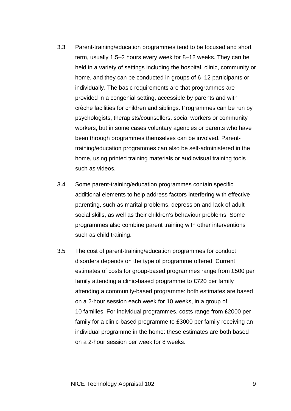- 3.3 Parent-training/education programmes tend to be focused and short term, usually 1.5–2 hours every week for 8–12 weeks. They can be held in a variety of settings including the hospital, clinic, community or home, and they can be conducted in groups of 6–12 participants or individually. The basic requirements are that programmes are provided in a congenial setting, accessible by parents and with crèche facilities for children and siblings. Programmes can be run by psychologists, therapists/counsellors, social workers or community workers, but in some cases voluntary agencies or parents who have been through programmes themselves can be involved. Parenttraining/education programmes can also be self-administered in the home, using printed training materials or audiovisual training tools such as videos.
- 3.4 Some parent-training/education programmes contain specific additional elements to help address factors interfering with effective parenting, such as marital problems, depression and lack of adult social skills, as well as their children's behaviour problems. Some programmes also combine parent training with other interventions such as child training.
- 3.5 The cost of parent-training/education programmes for conduct disorders depends on the type of programme offered. Current estimates of costs for group-based programmes range from £500 per family attending a clinic-based programme to £720 per family attending a community-based programme: both estimates are based on a 2-hour session each week for 10 weeks, in a group of 10 families. For individual programmes, costs range from £2000 per family for a clinic-based programme to £3000 per family receiving an individual programme in the home: these estimates are both based on a 2-hour session per week for 8 weeks.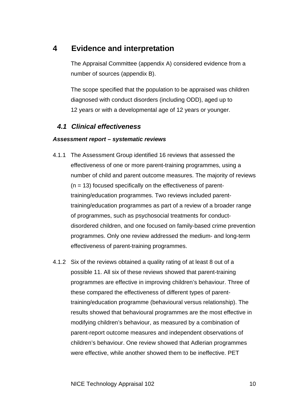### **4 Evidence and interpretation**

The Appraisal Committee (appendix A) considered evidence from a number of sources (appendix B).

The scope specified that the population to be appraised was children diagnosed with conduct disorders (including ODD), aged up to 12 years or with a developmental age of 12 years or younger.

### *4.1 Clinical effectiveness*

#### *Assessment report – systematic reviews*

- 4.1.1 The Assessment Group identified 16 reviews that assessed the effectiveness of one or more parent-training programmes, using a number of child and parent outcome measures. The majority of reviews  $(n = 13)$  focused specifically on the effectiveness of parenttraining/education programmes. Two reviews included parenttraining/education programmes as part of a review of a broader range of programmes, such as psychosocial treatments for conductdisordered children, and one focused on family-based crime prevention programmes. Only one review addressed the medium- and long-term effectiveness of parent-training programmes.
- 4.1.2 Six of the reviews obtained a quality rating of at least 8 out of a possible 11. All six of these reviews showed that parent-training programmes are effective in improving children's behaviour. Three of these compared the effectiveness of different types of parenttraining/education programme (behavioural versus relationship). The results showed that behavioural programmes are the most effective in modifying children's behaviour, as measured by a combination of parent-report outcome measures and independent observations of children's behaviour. One review showed that Adlerian programmes were effective, while another showed them to be ineffective. PET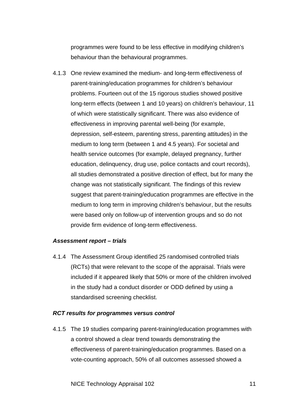programmes were found to be less effective in modifying children's behaviour than the behavioural programmes.

4.1.3 One review examined the medium- and long-term effectiveness of parent-training/education programmes for children's behaviour problems. Fourteen out of the 15 rigorous studies showed positive long-term effects (between 1 and 10 years) on children's behaviour, 11 of which were statistically significant. There was also evidence of effectiveness in improving parental well-being (for example, depression, self-esteem, parenting stress, parenting attitudes) in the medium to long term (between 1 and 4.5 years). For societal and health service outcomes (for example, delayed pregnancy, further education, delinquency, drug use, police contacts and court records), all studies demonstrated a positive direction of effect, but for many the change was not statistically significant. The findings of this review suggest that parent-training/education programmes are effective in the medium to long term in improving children's behaviour, but the results were based only on follow-up of intervention groups and so do not provide firm evidence of long-term effectiveness.

#### *Assessment report – trials*

4.1.4 The Assessment Group identified 25 randomised controlled trials (RCTs) that were relevant to the scope of the appraisal. Trials were included if it appeared likely that 50% or more of the children involved in the study had a conduct disorder or ODD defined by using a standardised screening checklist.

#### *RCT results for programmes versus control*

4.1.5 The 19 studies comparing parent-training/education programmes with a control showed a clear trend towards demonstrating the effectiveness of parent-training/education programmes. Based on a vote-counting approach, 50% of all outcomes assessed showed a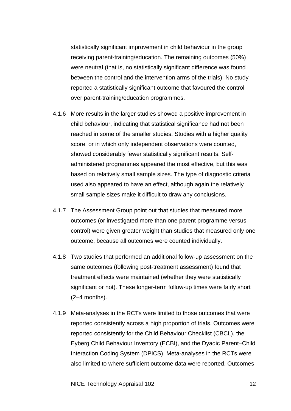statistically significant improvement in child behaviour in the group receiving parent-training/education. The remaining outcomes (50%) were neutral (that is, no statistically significant difference was found between the control and the intervention arms of the trials). No study reported a statistically significant outcome that favoured the control over parent-training/education programmes.

- 4.1.6 More results in the larger studies showed a positive improvement in child behaviour, indicating that statistical significance had not been reached in some of the smaller studies. Studies with a higher quality score, or in which only independent observations were counted, showed considerably fewer statistically significant results. Selfadministered programmes appeared the most effective, but this was based on relatively small sample sizes. The type of diagnostic criteria used also appeared to have an effect, although again the relatively small sample sizes make it difficult to draw any conclusions.
- 4.1.7 The Assessment Group point out that studies that measured more outcomes (or investigated more than one parent programme versus control) were given greater weight than studies that measured only one outcome, because all outcomes were counted individually.
- 4.1.8 Two studies that performed an additional follow-up assessment on the same outcomes (following post-treatment assessment) found that treatment effects were maintained (whether they were statistically significant or not). These longer-term follow-up times were fairly short (2–4 months).
- 4.1.9 Meta-analyses in the RCTs were limited to those outcomes that were reported consistently across a high proportion of trials. Outcomes were reported consistently for the Child Behaviour Checklist (CBCL), the Eyberg Child Behaviour Inventory (ECBI), and the Dyadic Parent–Child Interaction Coding System (DPICS). Meta-analyses in the RCTs were also limited to where sufficient outcome data were reported. Outcomes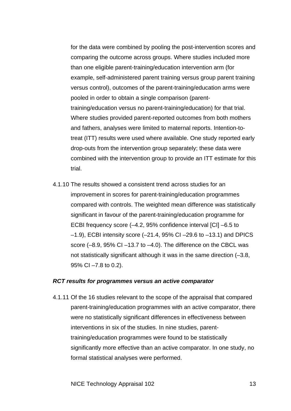for the data were combined by pooling the post-intervention scores and comparing the outcome across groups. Where studies included more than one eligible parent-training/education intervention arm (for example, self-administered parent training versus group parent training versus control), outcomes of the parent-training/education arms were pooled in order to obtain a single comparison (parenttraining/education versus no parent-training/education) for that trial. Where studies provided parent-reported outcomes from both mothers and fathers, analyses were limited to maternal reports. Intention-totreat (ITT) results were used where available. One study reported early drop-outs from the intervention group separately; these data were combined with the intervention group to provide an ITT estimate for this trial.

4.1.10 The results showed a consistent trend across studies for an improvement in scores for parent-training/education programmes compared with controls. The weighted mean difference was statistically significant in favour of the parent-training/education programme for ECBI frequency score (–4.2, 95% confidence interval [CI] –6.5 to  $-1.9$ ), ECBI intensity score  $(-21.4, 95\%$  CI $-29.6$  to  $-13.1$ ) and DPICS score  $(-8.9, 95\% \text{ Cl} -13.7 \text{ to } -4.0)$ . The difference on the CBCL was not statistically significant although it was in the same direction (–3.8, 95% CI –7.8 to 0.2).

#### *RCT results for programmes versus an active comparator*

4.1.11 Of the 16 studies relevant to the scope of the appraisal that compared parent-training/education programmes with an active comparator, there were no statistically significant differences in effectiveness between interventions in six of the studies. In nine studies, parenttraining/education programmes were found to be statistically significantly more effective than an active comparator. In one study, no formal statistical analyses were performed.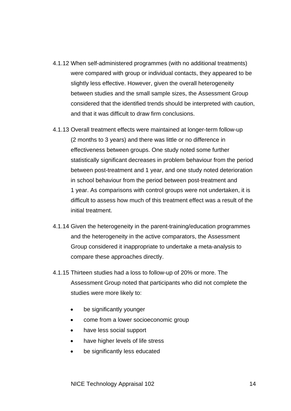- 4.1.12 When self-administered programmes (with no additional treatments) were compared with group or individual contacts, they appeared to be slightly less effective. However, given the overall heterogeneity between studies and the small sample sizes, the Assessment Group considered that the identified trends should be interpreted with caution, and that it was difficult to draw firm conclusions.
- 4.1.13 Overall treatment effects were maintained at longer-term follow-up (2 months to 3 years) and there was little or no difference in effectiveness between groups. One study noted some further statistically significant decreases in problem behaviour from the period between post-treatment and 1 year, and one study noted deterioration in school behaviour from the period between post-treatment and 1 year. As comparisons with control groups were not undertaken, it is difficult to assess how much of this treatment effect was a result of the initial treatment.
- 4.1.14 Given the heterogeneity in the parent-training/education programmes and the heterogeneity in the active comparators, the Assessment Group considered it inappropriate to undertake a meta-analysis to compare these approaches directly.
- 4.1.15 Thirteen studies had a loss to follow-up of 20% or more. The Assessment Group noted that participants who did not complete the studies were more likely to:
	- be significantly younger
	- come from a lower socioeconomic group
	- have less social support
	- have higher levels of life stress
	- be significantly less educated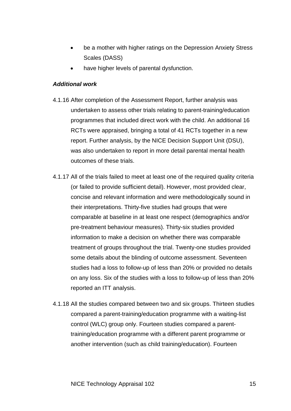- be a mother with higher ratings on the Depression Anxiety Stress Scales (DASS)
- have higher levels of parental dysfunction.

#### *Additional work*

- 4.1.16 After completion of the Assessment Report, further analysis was undertaken to assess other trials relating to parent-training/education programmes that included direct work with the child. An additional 16 RCTs were appraised, bringing a total of 41 RCTs together in a new report. Further analysis, by the NICE Decision Support Unit (DSU), was also undertaken to report in more detail parental mental health outcomes of these trials.
- 4.1.17 All of the trials failed to meet at least one of the required quality criteria (or failed to provide sufficient detail). However, most provided clear, concise and relevant information and were methodologically sound in their interpretations. Thirty-five studies had groups that were comparable at baseline in at least one respect (demographics and/or pre-treatment behaviour measures). Thirty-six studies provided information to make a decision on whether there was comparable treatment of groups throughout the trial. Twenty-one studies provided some details about the blinding of outcome assessment. Seventeen studies had a loss to follow-up of less than 20% or provided no details on any loss. Six of the studies with a loss to follow-up of less than 20% reported an ITT analysis.
- 4.1.18 All the studies compared between two and six groups. Thirteen studies compared a parent-training/education programme with a waiting-list control (WLC) group only. Fourteen studies compared a parenttraining/education programme with a different parent programme or another intervention (such as child training/education). Fourteen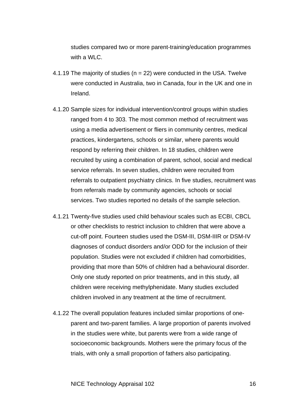studies compared two or more parent-training/education programmes with a WLC.

- 4.1.19 The majority of studies ( $n = 22$ ) were conducted in the USA. Twelve were conducted in Australia, two in Canada, four in the UK and one in Ireland.
- 4.1.20 Sample sizes for individual intervention/control groups within studies ranged from 4 to 303. The most common method of recruitment was using a media advertisement or fliers in community centres, medical practices, kindergartens, schools or similar, where parents would respond by referring their children. In 18 studies, children were recruited by using a combination of parent, school, social and medical service referrals. In seven studies, children were recruited from referrals to outpatient psychiatry clinics. In five studies, recruitment was from referrals made by community agencies, schools or social services. Two studies reported no details of the sample selection.
- 4.1.21 Twenty-five studies used child behaviour scales such as ECBI, CBCL or other checklists to restrict inclusion to children that were above a cut-off point. Fourteen studies used the DSM-III, DSM-IIIR or DSM-IV diagnoses of conduct disorders and/or ODD for the inclusion of their population. Studies were not excluded if children had comorbidities, providing that more than 50% of children had a behavioural disorder. Only one study reported on prior treatments, and in this study, all children were receiving methylphenidate. Many studies excluded children involved in any treatment at the time of recruitment.
- 4.1.22 The overall population features included similar proportions of oneparent and two-parent families. A large proportion of parents involved in the studies were white, but parents were from a wide range of socioeconomic backgrounds. Mothers were the primary focus of the trials, with only a small proportion of fathers also participating.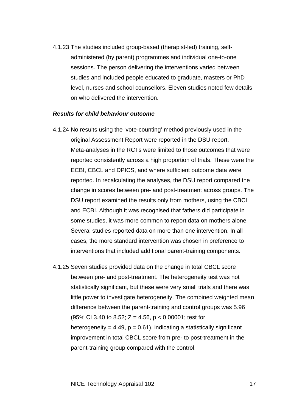4.1.23 The studies included group-based (therapist-led) training, selfadministered (by parent) programmes and individual one-to-one sessions. The person delivering the interventions varied between studies and included people educated to graduate, masters or PhD level, nurses and school counsellors. Eleven studies noted few details on who delivered the intervention.

#### *Results for child behaviour outcome*

- 4.1.24 No results using the 'vote-counting' method previously used in the original Assessment Report were reported in the DSU report. Meta-analyses in the RCTs were limited to those outcomes that were reported consistently across a high proportion of trials. These were the ECBI, CBCL and DPICS, and where sufficient outcome data were reported. In recalculating the analyses, the DSU report compared the change in scores between pre- and post-treatment across groups. The DSU report examined the results only from mothers, using the CBCL and ECBI. Although it was recognised that fathers did participate in some studies, it was more common to report data on mothers alone. Several studies reported data on more than one intervention. In all cases, the more standard intervention was chosen in preference to interventions that included additional parent-training components.
- 4.1.25 Seven studies provided data on the change in total CBCL score between pre- and post-treatment. The heterogeneity test was not statistically significant, but these were very small trials and there was little power to investigate heterogeneity. The combined weighted mean difference between the parent-training and control groups was 5.96 (95% CI 3.40 to 8.52;  $Z = 4.56$ ,  $p < 0.00001$ ; test for heterogeneity =  $4.49$ ,  $p = 0.61$ ), indicating a statistically significant improvement in total CBCL score from pre- to post-treatment in the parent-training group compared with the control.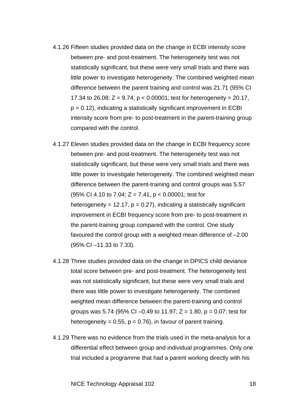- 4.1.26 Fifteen studies provided data on the change in ECBI intensity score between pre- and post-treatment. The heterogeneity test was not statistically significant, but these were very small trials and there was little power to investigate heterogeneity. The combined weighted mean difference between the parent training and control was 21.71 (95% CI 17.34 to 26.08;  $Z = 9.74$ ,  $p < 0.00001$ ; test for heterogeneity = 20.17,  $p = 0.12$ ), indicating a statistically significant improvement in ECBI intensity score from pre- to post-treatment in the parent-training group compared with the control.
- 4.1.27 Eleven studies provided data on the change in ECBI frequency score between pre- and post-treatment. The heterogeneity test was not statistically significant, but these were very small trials and there was little power to investigate heterogeneity. The combined weighted mean difference between the parent-training and control groups was 5.57 (95% CI 4.10 to 7.04;  $Z = 7.41$ ,  $p < 0.00001$ ; test for heterogeneity = 12.17,  $p = 0.27$ ), indicating a statistically significant improvement in ECBI frequency score from pre- to post-treatment in the parent-training group compared with the control. One study favoured the control group with a weighted mean difference of –2.00 (95% CI –11.33 to 7.33).
- 4.1.28 Three studies provided data on the change in DPICS child deviance total score between pre- and post-treatment. The heterogeneity test was not statistically significant, but these were very small trials and there was little power to investigate heterogeneity. The combined weighted mean difference between the parent-training and control groups was 5.74 (95% CI –0.49 to 11.97; Z = 1.80, p = 0.07; test for heterogeneity =  $0.55$ ,  $p = 0.76$ ), in favour of parent training.
- 4.1.29 There was no evidence from the trials used in the meta-analysis for a differential effect between group and individual programmes. Only one trial included a programme that had a parent working directly with his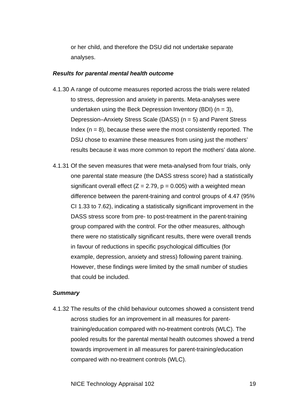or her child, and therefore the DSU did not undertake separate analyses.

#### *Results for parental mental health outcome*

- 4.1.30 A range of outcome measures reported across the trials were related to stress, depression and anxiety in parents. Meta-analyses were undertaken using the Beck Depression Inventory (BDI) ( $n = 3$ ), Depression–Anxiety Stress Scale (DASS) (n = 5) and Parent Stress Index  $(n = 8)$ , because these were the most consistently reported. The DSU chose to examine these measures from using just the mothers' results because it was more common to report the mothers' data alone.
- 4.1.31 Of the seven measures that were meta-analysed from four trials, only one parental state measure (the DASS stress score) had a statistically significant overall effect  $(Z = 2.79, p = 0.005)$  with a weighted mean difference between the parent-training and control groups of 4.47 (95% CI 1.33 to 7.62), indicating a statistically significant improvement in the DASS stress score from pre- to post-treatment in the parent-training group compared with the control. For the other measures, although there were no statistically significant results, there were overall trends in favour of reductions in specific psychological difficulties (for example, depression, anxiety and stress) following parent training. However, these findings were limited by the small number of studies that could be included.

#### *Summary*

4.1.32 The results of the child behaviour outcomes showed a consistent trend across studies for an improvement in all measures for parenttraining/education compared with no-treatment controls (WLC). The pooled results for the parental mental health outcomes showed a trend towards improvement in all measures for parent-training/education compared with no-treatment controls (WLC).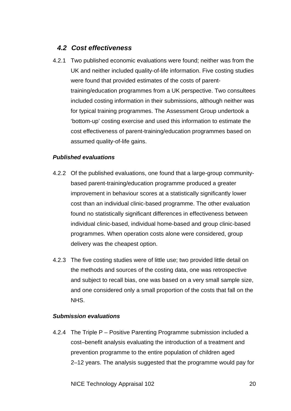### *4.2 Cost effectiveness*

4.2.1 Two published economic evaluations were found; neither was from the UK and neither included quality-of-life information. Five costing studies were found that provided estimates of the costs of parenttraining/education programmes from a UK perspective. Two consultees included costing information in their submissions, although neither was for typical training programmes. The Assessment Group undertook a 'bottom-up' costing exercise and used this information to estimate the cost effectiveness of parent-training/education programmes based on assumed quality-of-life gains.

### *Published evaluations*

- 4.2.2 Of the published evaluations, one found that a large-group communitybased parent-training/education programme produced a greater improvement in behaviour scores at a statistically significantly lower cost than an individual clinic-based programme. The other evaluation found no statistically significant differences in effectiveness between individual clinic-based, individual home-based and group clinic-based programmes. When operation costs alone were considered, group delivery was the cheapest option.
- 4.2.3 The five costing studies were of little use; two provided little detail on the methods and sources of the costing data, one was retrospective and subject to recall bias, one was based on a very small sample size, and one considered only a small proportion of the costs that fall on the NHS.

### *Submission evaluations*

4.2.4 The Triple P – Positive Parenting Programme submission included a cost–benefit analysis evaluating the introduction of a treatment and prevention programme to the entire population of children aged 2–12 years. The analysis suggested that the programme would pay for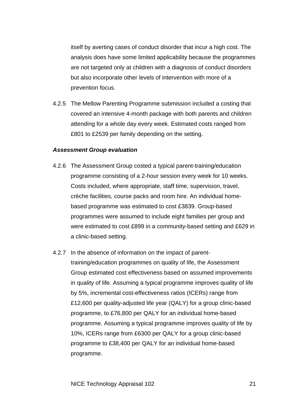itself by averting cases of conduct disorder that incur a high cost. The analysis does have some limited applicability because the programmes are not targeted only at children with a diagnosis of conduct disorders but also incorporate other levels of intervention with more of a prevention focus.

4.2.5 The Mellow Parenting Programme submission included a costing that covered an intensive 4-month package with both parents and children attending for a whole day every week. Estimated costs ranged from £801 to £2539 per family depending on the setting.

#### *Assessment Group evaluation*

- 4.2.6 The Assessment Group costed a typical parent-training/education programme consisting of a 2-hour session every week for 10 weeks. Costs included, where appropriate, staff time, supervision, travel, crèche facilities, course packs and room hire. An individual homebased programme was estimated to cost £3839. Group-based programmes were assumed to include eight families per group and were estimated to cost £899 in a community-based setting and £629 in a clinic-based setting.
- 4.2.7 In the absence of information on the impact of parenttraining/education programmes on quality of life, the Assessment Group estimated cost effectiveness based on assumed improvements in quality of life. Assuming a typical programme improves quality of life by 5%, incremental cost-effectiveness ratios (ICERs) range from £12,600 per quality-adjusted life year (QALY) for a group clinic-based programme, to £76,800 per QALY for an individual home-based programme. Assuming a typical programme improves quality of life by 10%, ICERs range from £6300 per QALY for a group clinic-based programme to £38,400 per QALY for an individual home-based programme.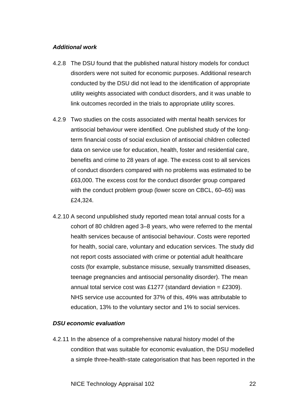#### *Additional work*

- 4.2.8 The DSU found that the published natural history models for conduct disorders were not suited for economic purposes. Additional research conducted by the DSU did not lead to the identification of appropriate utility weights associated with conduct disorders, and it was unable to link outcomes recorded in the trials to appropriate utility scores.
- 4.2.9 Two studies on the costs associated with mental health services for antisocial behaviour were identified. One published study of the longterm financial costs of social exclusion of antisocial children collected data on service use for education, health, foster and residential care, benefits and crime to 28 years of age. The excess cost to all services of conduct disorders compared with no problems was estimated to be £63,000. The excess cost for the conduct disorder group compared with the conduct problem group (lower score on CBCL, 60–65) was £24,324.
- 4.2.10 A second unpublished study reported mean total annual costs for a cohort of 80 children aged 3–8 years, who were referred to the mental health services because of antisocial behaviour. Costs were reported for health, social care, voluntary and education services. The study did not report costs associated with crime or potential adult healthcare costs (for example, substance misuse, sexually transmitted diseases, teenage pregnancies and antisocial personality disorder). The mean annual total service cost was £1277 (standard deviation = £2309). NHS service use accounted for 37% of this, 49% was attributable to education, 13% to the voluntary sector and 1% to social services.

#### *DSU economic evaluation*

4.2.11 In the absence of a comprehensive natural history model of the condition that was suitable for economic evaluation, the DSU modelled a simple three-health-state categorisation that has been reported in the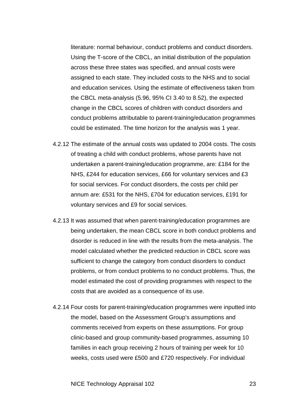literature: normal behaviour, conduct problems and conduct disorders. Using the T-score of the CBCL, an initial distribution of the population across these three states was specified, and annual costs were assigned to each state. They included costs to the NHS and to social and education services. Using the estimate of effectiveness taken from the CBCL meta-analysis (5.96, 95% CI 3.40 to 8.52), the expected change in the CBCL scores of children with conduct disorders and conduct problems attributable to parent-training/education programmes could be estimated. The time horizon for the analysis was 1 year.

- 4.2.12 The estimate of the annual costs was updated to 2004 costs. The costs of treating a child with conduct problems, whose parents have not undertaken a parent-training/education programme, are: £184 for the NHS, £244 for education services, £66 for voluntary services and £3 for social services. For conduct disorders, the costs per child per annum are: £531 for the NHS, £704 for education services, £191 for voluntary services and £9 for social services.
- 4.2.13 It was assumed that when parent-training/education programmes are being undertaken, the mean CBCL score in both conduct problems and disorder is reduced in line with the results from the meta-analysis. The model calculated whether the predicted reduction in CBCL score was sufficient to change the category from conduct disorders to conduct problems, or from conduct problems to no conduct problems. Thus, the model estimated the cost of providing programmes with respect to the costs that are avoided as a consequence of its use.
- 4.2.14 Four costs for parent-training/education programmes were inputted into the model, based on the Assessment Group's assumptions and comments received from experts on these assumptions. For group clinic-based and group community-based programmes, assuming 10 families in each group receiving 2 hours of training per week for 10 weeks, costs used were £500 and £720 respectively. For individual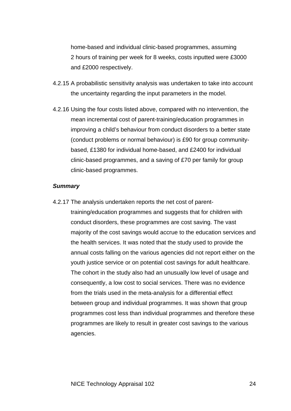home-based and individual clinic-based programmes, assuming 2 hours of training per week for 8 weeks, costs inputted were £3000 and £2000 respectively.

- 4.2.15 A probabilistic sensitivity analysis was undertaken to take into account the uncertainty regarding the input parameters in the model.
- 4.2.16 Using the four costs listed above, compared with no intervention, the mean incremental cost of parent-training/education programmes in improving a child's behaviour from conduct disorders to a better state (conduct problems or normal behaviour) is £90 for group communitybased, £1380 for individual home-based, and £2400 for individual clinic-based programmes, and a saving of £70 per family for group clinic-based programmes.

#### *Summary*

4.2.17 The analysis undertaken reports the net cost of parenttraining/education programmes and suggests that for children with conduct disorders, these programmes are cost saving. The vast majority of the cost savings would accrue to the education services and the health services. It was noted that the study used to provide the annual costs falling on the various agencies did not report either on the youth justice service or on potential cost savings for adult healthcare. The cohort in the study also had an unusually low level of usage and consequently, a low cost to social services. There was no evidence from the trials used in the meta-analysis for a differential effect between group and individual programmes. It was shown that group programmes cost less than individual programmes and therefore these programmes are likely to result in greater cost savings to the various agencies.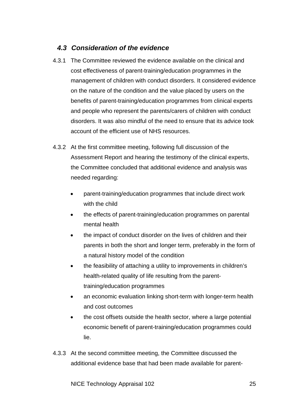### *4.3 Consideration of the evidence*

- 4.3.1 The Committee reviewed the evidence available on the clinical and cost effectiveness of parent-training/education programmes in the management of children with conduct disorders. It considered evidence on the nature of the condition and the value placed by users on the benefits of parent-training/education programmes from clinical experts and people who represent the parents/carers of children with conduct disorders. It was also mindful of the need to ensure that its advice took account of the efficient use of NHS resources.
- 4.3.2 At the first committee meeting, following full discussion of the Assessment Report and hearing the testimony of the clinical experts, the Committee concluded that additional evidence and analysis was needed regarding:
	- parent-training/education programmes that include direct work with the child
	- the effects of parent-training/education programmes on parental mental health
	- the impact of conduct disorder on the lives of children and their parents in both the short and longer term, preferably in the form of a natural history model of the condition
	- the feasibility of attaching a utility to improvements in children's health-related quality of life resulting from the parenttraining/education programmes
	- an economic evaluation linking short-term with longer-term health and cost outcomes
	- the cost offsets outside the health sector, where a large potential economic benefit of parent-training/education programmes could lie.
- 4.3.3 At the second committee meeting, the Committee discussed the additional evidence base that had been made available for parent-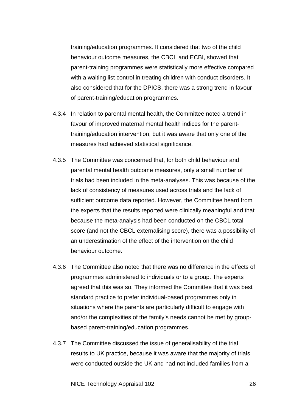training/education programmes. It considered that two of the child behaviour outcome measures, the CBCL and ECBI, showed that parent-training programmes were statistically more effective compared with a waiting list control in treating children with conduct disorders. It also considered that for the DPICS, there was a strong trend in favour of parent-training/education programmes.

- 4.3.4 In relation to parental mental health, the Committee noted a trend in favour of improved maternal mental health indices for the parenttraining/education intervention, but it was aware that only one of the measures had achieved statistical significance.
- 4.3.5 The Committee was concerned that, for both child behaviour and parental mental health outcome measures, only a small number of trials had been included in the meta-analyses. This was because of the lack of consistency of measures used across trials and the lack of sufficient outcome data reported. However, the Committee heard from the experts that the results reported were clinically meaningful and that because the meta-analysis had been conducted on the CBCL total score (and not the CBCL externalising score), there was a possibility of an underestimation of the effect of the intervention on the child behaviour outcome.
- 4.3.6 The Committee also noted that there was no difference in the effects of programmes administered to individuals or to a group. The experts agreed that this was so. They informed the Committee that it was best standard practice to prefer individual-based programmes only in situations where the parents are particularly difficult to engage with and/or the complexities of the family's needs cannot be met by groupbased parent-training/education programmes.
- 4.3.7 The Committee discussed the issue of generalisability of the trial results to UK practice, because it was aware that the majority of trials were conducted outside the UK and had not included families from a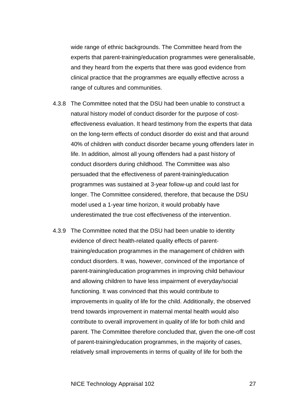wide range of ethnic backgrounds. The Committee heard from the experts that parent-training/education programmes were generalisable, and they heard from the experts that there was good evidence from clinical practice that the programmes are equally effective across a range of cultures and communities.

- 4.3.8 The Committee noted that the DSU had been unable to construct a natural history model of conduct disorder for the purpose of costeffectiveness evaluation. It heard testimony from the experts that data on the long-term effects of conduct disorder do exist and that around 40% of children with conduct disorder became young offenders later in life. In addition, almost all young offenders had a past history of conduct disorders during childhood. The Committee was also persuaded that the effectiveness of parent-training/education programmes was sustained at 3-year follow-up and could last for longer. The Committee considered, therefore, that because the DSU model used a 1-year time horizon, it would probably have underestimated the true cost effectiveness of the intervention.
- 4.3.9 The Committee noted that the DSU had been unable to identity evidence of direct health-related quality effects of parenttraining/education programmes in the management of children with conduct disorders. It was, however, convinced of the importance of parent-training/education programmes in improving child behaviour and allowing children to have less impairment of everyday/social functioning. It was convinced that this would contribute to improvements in quality of life for the child. Additionally, the observed trend towards improvement in maternal mental health would also contribute to overall improvement in quality of life for both child and parent. The Committee therefore concluded that, given the one-off cost of parent-training/education programmes, in the majority of cases, relatively small improvements in terms of quality of life for both the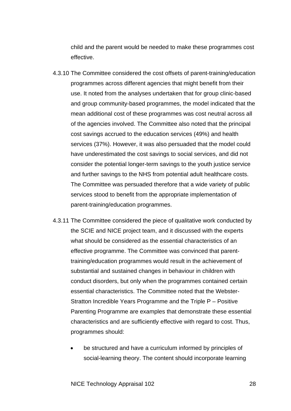child and the parent would be needed to make these programmes cost effective.

- 4.3.10 The Committee considered the cost offsets of parent-training/education programmes across different agencies that might benefit from their use. It noted from the analyses undertaken that for group clinic-based and group community-based programmes, the model indicated that the mean additional cost of these programmes was cost neutral across all of the agencies involved. The Committee also noted that the principal cost savings accrued to the education services (49%) and health services (37%). However, it was also persuaded that the model could have underestimated the cost savings to social services, and did not consider the potential longer-term savings to the youth justice service and further savings to the NHS from potential adult healthcare costs. The Committee was persuaded therefore that a wide variety of public services stood to benefit from the appropriate implementation of parent-training/education programmes.
- 4.3.11 The Committee considered the piece of qualitative work conducted by the SCIE and NICE project team, and it discussed with the experts what should be considered as the essential characteristics of an effective programme. The Committee was convinced that parenttraining/education programmes would result in the achievement of substantial and sustained changes in behaviour in children with conduct disorders, but only when the programmes contained certain essential characteristics. The Committee noted that the Webster-Stratton Incredible Years Programme and the Triple P – Positive Parenting Programme are examples that demonstrate these essential characteristics and are sufficiently effective with regard to cost. Thus, programmes should:
	- be structured and have a curriculum informed by principles of social-learning theory. The content should incorporate learning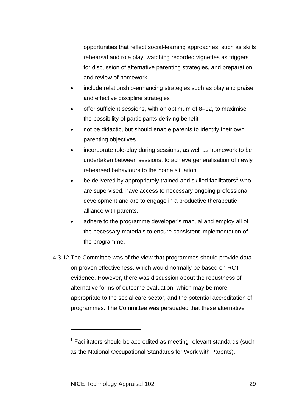opportunities that reflect social-learning approaches, such as skills rehearsal and role play, watching recorded vignettes as triggers for discussion of alternative parenting strategies, and preparation and review of homework

- include relationship-enhancing strategies such as play and praise, and effective discipline strategies
- offer sufficient sessions, with an optimum of 8–12, to maximise the possibility of participants deriving benefit
- not be didactic, but should enable parents to identify their own parenting objectives
- incorporate role-play during sessions, as well as homework to be undertaken between sessions, to achieve generalisation of newly rehearsed behaviours to the home situation
- be delivered by appropriately trained and skilled facilitators<sup>[1](#page-28-0)</sup> who are supervised, have access to necessary ongoing professional development and are to engage in a productive therapeutic alliance with parents.
- adhere to the programme developer's manual and employ all of the necessary materials to ensure consistent implementation of the programme.
- 4.3.12 The Committee was of the view that programmes should provide data on proven effectiveness, which would normally be based on RCT evidence. However, there was discussion about the robustness of alternative forms of outcome evaluation, which may be more appropriate to the social care sector, and the potential accreditation of programmes. The Committee was persuaded that these alternative

l

<span id="page-28-0"></span> $1$  Facilitators should be accredited as meeting relevant standards (such as the National Occupational Standards for Work with Parents).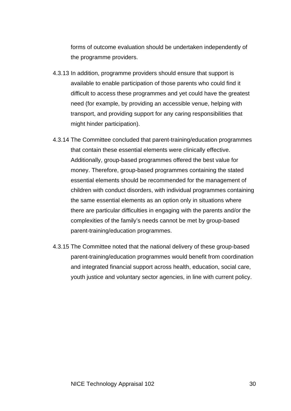forms of outcome evaluation should be undertaken independently of the programme providers.

- 4.3.13 In addition, programme providers should ensure that support is available to enable participation of those parents who could find it difficult to access these programmes and yet could have the greatest need (for example, by providing an accessible venue, helping with transport, and providing support for any caring responsibilities that might hinder participation).
- 4.3.14 The Committee concluded that parent-training/education programmes that contain these essential elements were clinically effective. Additionally, group-based programmes offered the best value for money. Therefore, group-based programmes containing the stated essential elements should be recommended for the management of children with conduct disorders, with individual programmes containing the same essential elements as an option only in situations where there are particular difficulties in engaging with the parents and/or the complexities of the family's needs cannot be met by group-based parent-training/education programmes.
- 4.3.15 The Committee noted that the national delivery of these group-based parent-training/education programmes would benefit from coordination and integrated financial support across health, education, social care, youth justice and voluntary sector agencies, in line with current policy.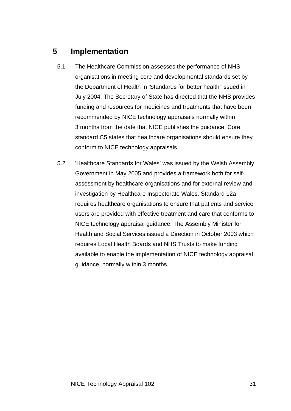### **5 Implementation**

- 5.1 The Healthcare Commission assesses the performance of NHS organisations in meeting core and developmental standards set by the Department of Health in 'Standards for better health' issued in July 2004. The Secretary of State has directed that the NHS provides funding and resources for medicines and treatments that have been recommended by NICE technology appraisals normally within 3 months from the date that NICE publishes the guidance. Core standard C5 states that healthcare organisations should ensure they conform to NICE technology appraisals.
- 5.2 'Healthcare Standards for Wales' was issued by the Welsh Assembly Government in May 2005 and provides a framework both for selfassessment by healthcare organisations and for external review and investigation by Healthcare Inspectorate Wales. Standard 12a requires healthcare organisations to ensure that patients and service users are provided with effective treatment and care that conforms to NICE technology appraisal guidance. The Assembly Minister for Health and Social Services issued a Direction in October 2003 which requires Local Health Boards and NHS Trusts to make funding available to enable the implementation of NICE technology appraisal guidance, normally within 3 months.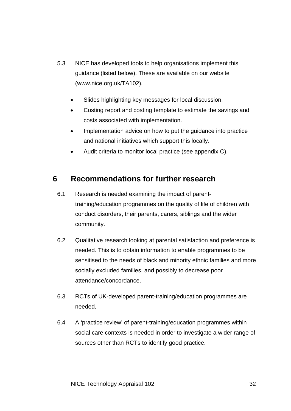- 5.3 NICE has developed tools to help organisations implement this guidance (listed below). These are available on our website (www.nice.org.uk/TA102).
	- Slides highlighting key messages for local discussion.
	- Costing report and costing template to estimate the savings and costs associated with implementation.
	- Implementation advice on how to put the guidance into practice and national initiatives which support this locally.
	- Audit criteria to monitor local practice (see appendix C).

### **6 Recommendations for further research**

- 6.1 Research is needed examining the impact of parenttraining/education programmes on the quality of life of children with conduct disorders, their parents, carers, siblings and the wider community.
- 6.2 Qualitative research looking at parental satisfaction and preference is needed. This is to obtain information to enable programmes to be sensitised to the needs of black and minority ethnic families and more socially excluded families, and possibly to decrease poor attendance/concordance.
- 6.3 RCTs of UK-developed parent-training/education programmes are needed.
- 6.4 A 'practice review' of parent-training/education programmes within social care contexts is needed in order to investigate a wider range of sources other than RCTs to identify good practice.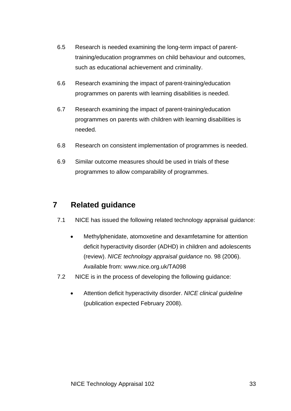- 6.5 Research is needed examining the long-term impact of parenttraining/education programmes on child behaviour and outcomes, such as educational achievement and criminality.
- 6.6 Research examining the impact of parent-training/education programmes on parents with learning disabilities is needed.
- 6.7 Research examining the impact of parent-training/education programmes on parents with children with learning disabilities is needed.
- 6.8 Research on consistent implementation of programmes is needed.
- 6.9 Similar outcome measures should be used in trials of these programmes to allow comparability of programmes.

### **7 Related guidance**

- 7.1 NICE has issued the following related technology appraisal guidance:
	- Methylphenidate, atomoxetine and dexamfetamine for attention deficit hyperactivity disorder (ADHD) in children and adolescents (review). *NICE technology appraisal guidance* no. 98 (2006). Available from: www.nice.org.uk/TA098
- 7.2 NICE is in the process of developing the following guidance:
	- Attention deficit hyperactivity disorder. *NICE clinical guideline* (publication expected February 2008).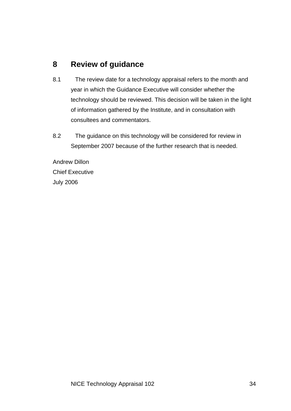### **8 Review of guidance**

- 8.1 The review date for a technology appraisal refers to the month and year in which the Guidance Executive will consider whether the technology should be reviewed. This decision will be taken in the light of information gathered by the Institute, and in consultation with consultees and commentators.
- 8.2 The guidance on this technology will be considered for review in September 2007 because of the further research that is needed.

Andrew Dillon Chief Executive July 2006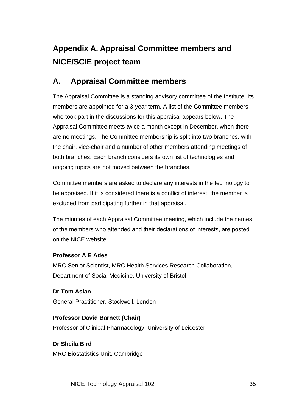# **Appendix A. Appraisal Committee members and NICE/SCIE project team**

### **A. Appraisal Committee members**

The Appraisal Committee is a standing advisory committee of the Institute. Its members are appointed for a 3-year term. A list of the Committee members who took part in the discussions for this appraisal appears below. The Appraisal Committee meets twice a month except in December, when there are no meetings. The Committee membership is split into two branches, with the chair, vice-chair and a number of other members attending meetings of both branches. Each branch considers its own list of technologies and ongoing topics are not moved between the branches.

Committee members are asked to declare any interests in the technology to be appraised. If it is considered there is a conflict of interest, the member is excluded from participating further in that appraisal.

The minutes of each Appraisal Committee meeting, which include the names of the members who attended and their declarations of interests, are posted on the NICE website.

### **Professor A E Ades**

MRC Senior Scientist, MRC Health Services Research Collaboration, Department of Social Medicine, University of Bristol

**Dr Tom Aslan**  General Practitioner, Stockwell, London

### **Professor David Barnett (Chair)**  Professor of Clinical Pharmacology, University of Leicester

**Dr Sheila Bird**  MRC Biostatistics Unit, Cambridge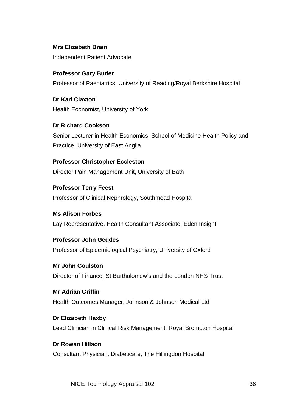**Mrs Elizabeth Brain**  Independent Patient Advocate

**Professor Gary Butler**  Professor of Paediatrics, University of Reading/Royal Berkshire Hospital

**Dr Karl Claxton**  Health Economist, University of York

**Dr Richard Cookson**  Senior Lecturer in Health Economics, School of Medicine Health Policy and Practice, University of East Anglia

**Professor Christopher Eccleston**  Director Pain Management Unit, University of Bath

**Professor Terry Feest**  Professor of Clinical Nephrology, Southmead Hospital

**Ms Alison Forbes**  Lay Representative, Health Consultant Associate, Eden Insight

**Professor John Geddes**  Professor of Epidemiological Psychiatry, University of Oxford

**Mr John Goulston**  Director of Finance, St Bartholomew's and the London NHS Trust

**Mr Adrian Griffin**  Health Outcomes Manager, Johnson & Johnson Medical Ltd

**Dr Elizabeth Haxby**  Lead Clinician in Clinical Risk Management, Royal Brompton Hospital

**Dr Rowan Hillson**  Consultant Physician, Diabeticare, The Hillingdon Hospital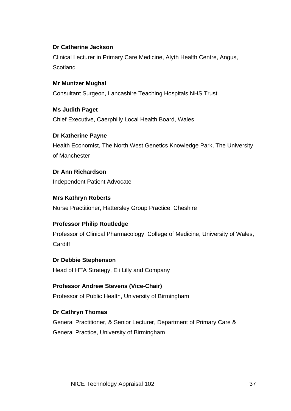### **Dr Catherine Jackson**

Clinical Lecturer in Primary Care Medicine, Alyth Health Centre, Angus, **Scotland** 

### **Mr Muntzer Mughal**

Consultant Surgeon, Lancashire Teaching Hospitals NHS Trust

**Ms Judith Paget** Chief Executive, Caerphilly Local Health Board, Wales

**Dr Katherine Payne** Health Economist, The North West Genetics Knowledge Park, The University of Manchester

**Dr Ann Richardson**  Independent Patient Advocate

**Mrs Kathryn Roberts**  Nurse Practitioner, Hattersley Group Practice, Cheshire

### **Professor Philip Routledge**

Professor of Clinical Pharmacology, College of Medicine, University of Wales, **Cardiff** 

### **Dr Debbie Stephenson**

Head of HTA Strategy, Eli Lilly and Company

**Professor Andrew Stevens (Vice-Chair)**  Professor of Public Health, University of Birmingham

### **Dr Cathryn Thomas**

General Practitioner, & Senior Lecturer, Department of Primary Care & General Practice, University of Birmingham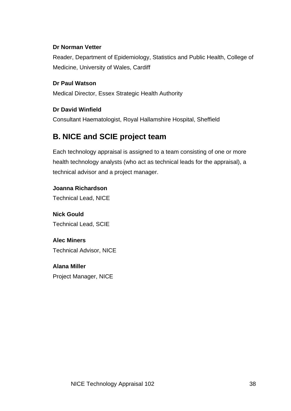### **Dr Norman Vetter**

Reader, Department of Epidemiology, Statistics and Public Health, College of Medicine, University of Wales, Cardiff

### **Dr Paul Watson**

Medical Director, Essex Strategic Health Authority

#### **Dr David Winfield**

Consultant Haematologist, Royal Hallamshire Hospital, Sheffield

### **B. NICE and SCIE project team**

Each technology appraisal is assigned to a team consisting of one or more health technology analysts (who act as technical leads for the appraisal), a technical advisor and a project manager.

#### **Joanna Richardson**

Technical Lead, NICE

**Nick Gould**  Technical Lead, SCIE

**Alec Miners**  Technical Advisor, NICE

**Alana Miller**  Project Manager, NICE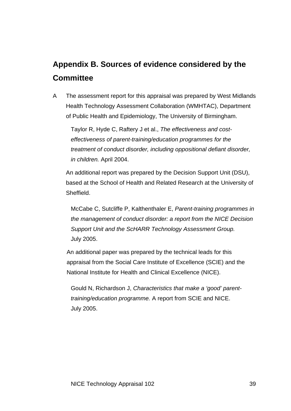## **Appendix B. Sources of evidence considered by the Committee**

A The assessment report for this appraisal was prepared by West Midlands Health Technology Assessment Collaboration (WMHTAC), Department of Public Health and Epidemiology, The University of Birmingham.

Taylor R, Hyde C, Raftery J et al., *The effectiveness and costeffectiveness of parent-training/education programmes for the treatment of conduct disorder, including oppositional defiant disorder, in children.* April 2004.

An additional report was prepared by the Decision Support Unit (DSU), based at the School of Health and Related Research at the University of **Sheffield** 

McCabe C, Sutcliffe P, Kalthenthaler E, *Parent-training programmes in the management of conduct disorder: a report from the NICE Decision Support Unit and the ScHARR Technology Assessment Group.* July 2005.

An additional paper was prepared by the technical leads for this appraisal from the Social Care Institute of Excellence (SCIE) and the National Institute for Health and Clinical Excellence (NICE).

Gould N, Richardson J, *Characteristics that make a 'good' parenttraining/education programme.* A report from SCIE and NICE. July 2005.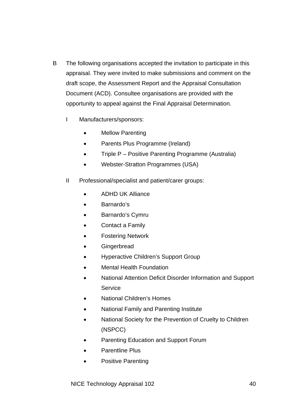- B The following organisations accepted the invitation to participate in this appraisal. They were invited to make submissions and comment on the draft scope, the Assessment Report and the Appraisal Consultation Document (ACD). Consultee organisations are provided with the opportunity to appeal against the Final Appraisal Determination.
	- I Manufacturers/sponsors:
		- Mellow Parenting
		- Parents Plus Programme (Ireland)
		- Triple P Positive Parenting Programme (Australia)
		- Webster-Stratton Programmes (USA)
	- II Professional/specialist and patient/carer groups:
		- ADHD UK Alliance
		- Barnardo's
		- Barnardo's Cymru
		- Contact a Family
		- Fostering Network
		- **Gingerbread**
		- Hyperactive Children's Support Group
		- Mental Health Foundation
		- National Attention Deficit Disorder Information and Support **Service**
		- National Children's Homes
		- National Family and Parenting Institute
		- National Society for the Prevention of Cruelty to Children (NSPCC)
		- Parenting Education and Support Forum
		- Parentline Plus
		- Positive Parenting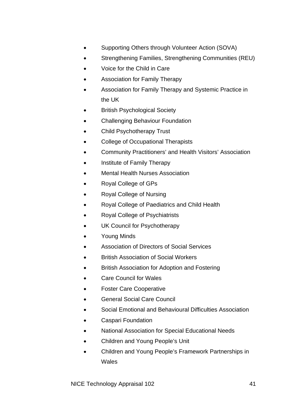- Supporting Others through Volunteer Action (SOVA)
- Strengthening Families, Strengthening Communities (REU)
- Voice for the Child in Care
- Association for Family Therapy
- Association for Family Therapy and Systemic Practice in the UK
- **British Psychological Society**
- Challenging Behaviour Foundation
- Child Psychotherapy Trust
- College of Occupational Therapists
- Community Practitioners' and Health Visitors' Association
- Institute of Family Therapy
- Mental Health Nurses Association
- Royal College of GPs
- Royal College of Nursing
- Royal College of Paediatrics and Child Health
- Royal College of Psychiatrists
- UK Council for Psychotherapy
- Young Minds
- Association of Directors of Social Services
- British Association of Social Workers
- British Association for Adoption and Fostering
- Care Council for Wales
- Foster Care Cooperative
- General Social Care Council
- Social Emotional and Behavioural Difficulties Association
- Caspari Foundation
- National Association for Special Educational Needs
- Children and Young People's Unit
- Children and Young People's Framework Partnerships in **Wales**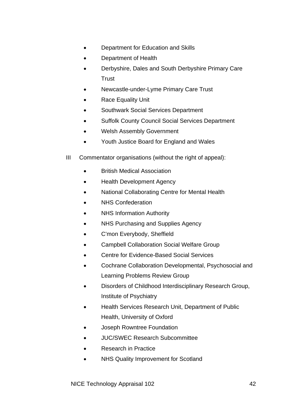- Department for Education and Skills
- Department of Health
- Derbyshire, Dales and South Derbyshire Primary Care **Trust**
- Newcastle-under-Lyme Primary Care Trust
- Race Equality Unit
- Southwark Social Services Department
- Suffolk County Council Social Services Department
- Welsh Assembly Government
- Youth Justice Board for England and Wales
- III Commentator organisations (without the right of appeal):
	- British Medical Association
	- Health Development Agency
	- National Collaborating Centre for Mental Health
	- NHS Confederation
	- NHS Information Authority
	- NHS Purchasing and Supplies Agency
	- C'mon Everybody, Sheffield
	- Campbell Collaboration Social Welfare Group
	- Centre for Evidence-Based Social Services
	- Cochrane Collaboration Developmental, Psychosocial and Learning Problems Review Group
	- Disorders of Childhood Interdisciplinary Research Group, Institute of Psychiatry
	- Health Services Research Unit, Department of Public Health, University of Oxford
	- Joseph Rowntree Foundation
	- JUC/SWEC Research Subcommittee
	- Research in Practice
	- NHS Quality Improvement for Scotland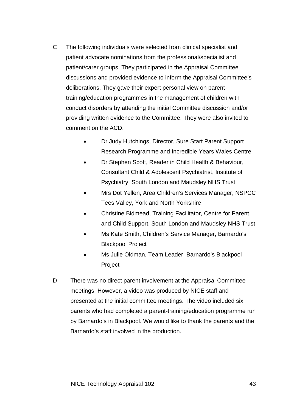- C The following individuals were selected from clinical specialist and patient advocate nominations from the professional/specialist and patient/carer groups. They participated in the Appraisal Committee discussions and provided evidence to inform the Appraisal Committee's deliberations. They gave their expert personal view on parenttraining/education programmes in the management of children with conduct disorders by attending the initial Committee discussion and/or providing written evidence to the Committee. They were also invited to comment on the ACD.
	- Dr Judy Hutchings, Director, Sure Start Parent Support Research Programme and Incredible Years Wales Centre
	- Dr Stephen Scott, Reader in Child Health & Behaviour, Consultant Child & Adolescent Psychiatrist, Institute of Psychiatry, South London and Maudsley NHS Trust
	- Mrs Dot Yellen, Area Children's Services Manager, NSPCC Tees Valley, York and North Yorkshire
	- Christine Bidmead, Training Facilitator, Centre for Parent and Child Support, South London and Maudsley NHS Trust
	- Ms Kate Smith, Children's Service Manager, Barnardo's Blackpool Project
	- Ms Julie Oldman, Team Leader, Barnardo's Blackpool Project
- D There was no direct parent involvement at the Appraisal Committee meetings. However, a video was produced by NICE staff and presented at the initial committee meetings. The video included six parents who had completed a parent-training/education programme run by Barnardo's in Blackpool. We would like to thank the parents and the Barnardo's staff involved in the production.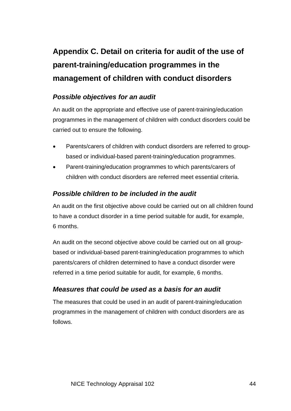# **Appendix C. Detail on criteria for audit of the use of parent-training/education programmes in the management of children with conduct disorders**

### *Possible objectives for an audit*

An audit on the appropriate and effective use of parent-training/education programmes in the management of children with conduct disorders could be carried out to ensure the following.

- Parents/carers of children with conduct disorders are referred to groupbased or individual-based parent-training/education programmes.
- Parent-training/education programmes to which parents/carers of children with conduct disorders are referred meet essential criteria.

### *Possible children to be included in the audit*

An audit on the first objective above could be carried out on all children found to have a conduct disorder in a time period suitable for audit, for example, 6 months.

An audit on the second objective above could be carried out on all groupbased or individual-based parent-training/education programmes to which parents/carers of children determined to have a conduct disorder were referred in a time period suitable for audit, for example, 6 months.

### *Measures that could be used as a basis for an audit*

The measures that could be used in an audit of parent-training/education programmes in the management of children with conduct disorders are as follows.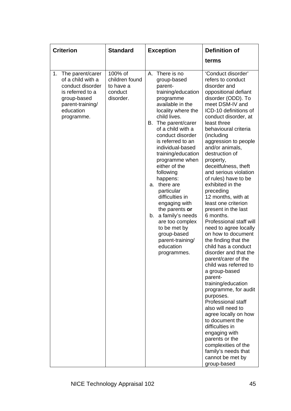| <b>Criterion</b>                                                                                                                                  | <b>Standard</b>                                                | <b>Exception</b>                                                                                                                                                                                                                                                                                                                                                                                                                                                                                                                                          | <b>Definition of</b>                                                                                                                                                                                                                                                                                                                                                                                                                                                                                                                                                                                                                                                                                                                                                                                                                                                                                                                                                                                                      |
|---------------------------------------------------------------------------------------------------------------------------------------------------|----------------------------------------------------------------|-----------------------------------------------------------------------------------------------------------------------------------------------------------------------------------------------------------------------------------------------------------------------------------------------------------------------------------------------------------------------------------------------------------------------------------------------------------------------------------------------------------------------------------------------------------|---------------------------------------------------------------------------------------------------------------------------------------------------------------------------------------------------------------------------------------------------------------------------------------------------------------------------------------------------------------------------------------------------------------------------------------------------------------------------------------------------------------------------------------------------------------------------------------------------------------------------------------------------------------------------------------------------------------------------------------------------------------------------------------------------------------------------------------------------------------------------------------------------------------------------------------------------------------------------------------------------------------------------|
|                                                                                                                                                   |                                                                |                                                                                                                                                                                                                                                                                                                                                                                                                                                                                                                                                           | terms                                                                                                                                                                                                                                                                                                                                                                                                                                                                                                                                                                                                                                                                                                                                                                                                                                                                                                                                                                                                                     |
| The parent/carer<br>1.<br>of a child with a<br>conduct disorder<br>is referred to a<br>group-based<br>parent-training/<br>education<br>programme. | 100% of<br>children found<br>to have a<br>conduct<br>disorder. | There is no<br>А.<br>group-based<br>parent-<br>training/education<br>programme<br>available in the<br>locality where the<br>child lives.<br>The parent/carer<br>В.<br>of a child with a<br>conduct disorder<br>is referred to an<br>individual-based<br>training/education<br>programme when<br>either of the<br>following<br>happens:<br>there are<br>a.<br>particular<br>difficulties in<br>engaging with<br>the parents or<br>a family's needs<br>b.<br>are too complex<br>to be met by<br>group-based<br>parent-training/<br>education<br>programmes. | 'Conduct disorder'<br>refers to conduct<br>disorder and<br>oppositional defiant<br>disorder (ODD). To<br>meet DSM-IV and<br>ICD-10 definitions of<br>conduct disorder, at<br>least three<br>behavioural criteria<br>(including<br>aggression to people<br>and/or animals,<br>destruction of<br>property,<br>deceitfulness, theft<br>and serious violation<br>of rules) have to be<br>exhibited in the<br>preceding<br>12 months, with at<br>least one criterion<br>present in the last<br>6 months.<br>Professional staff will<br>need to agree locally<br>on how to document<br>the finding that the<br>child has a conduct<br>disorder and that the<br>parent/carer of the<br>child was referred to<br>a group-based<br>parent-<br>training/education<br>programme, for audit<br>purposes.<br>Professional staff<br>also will need to<br>agree locally on how<br>to document the<br>difficulties in<br>engaging with<br>parents or the<br>complexities of the<br>family's needs that<br>cannot be met by<br>group-based |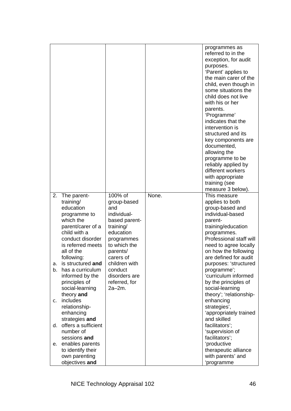|         |                                       |                                |       | programmes as<br>referred to in the<br>exception, for audit<br>purposes.<br>'Parent' applies to<br>the main carer of the<br>child, even though in<br>some situations the<br>child does not live<br>with his or her<br>parents.<br>'Programme'<br>indicates that the<br>intervention is<br>structured and its<br>key components are<br>documented,<br>allowing the<br>programme to be<br>reliably applied by<br>different workers<br>with appropriate<br>training (see<br>measure 3 below). |
|---------|---------------------------------------|--------------------------------|-------|--------------------------------------------------------------------------------------------------------------------------------------------------------------------------------------------------------------------------------------------------------------------------------------------------------------------------------------------------------------------------------------------------------------------------------------------------------------------------------------------|
| 2.      | The parent-                           | 100% of                        | None. | This measure                                                                                                                                                                                                                                                                                                                                                                                                                                                                               |
|         | training/<br>education                | group-based<br>and             |       | applies to both<br>group-based and                                                                                                                                                                                                                                                                                                                                                                                                                                                         |
|         | programme to                          | individual-                    |       | individual-based                                                                                                                                                                                                                                                                                                                                                                                                                                                                           |
|         | which the                             | based parent-                  |       | parent-                                                                                                                                                                                                                                                                                                                                                                                                                                                                                    |
|         | parent/carer of a                     | training/                      |       | training/education                                                                                                                                                                                                                                                                                                                                                                                                                                                                         |
|         | child with a<br>conduct disorder      | education                      |       | programmes.<br>Professional staff will                                                                                                                                                                                                                                                                                                                                                                                                                                                     |
|         | is referred meets                     | programmes<br>to which the     |       | need to agree locally                                                                                                                                                                                                                                                                                                                                                                                                                                                                      |
|         | all of the                            | parents/                       |       | on how the following                                                                                                                                                                                                                                                                                                                                                                                                                                                                       |
|         | following:                            | carers of                      |       | are defined for audit                                                                                                                                                                                                                                                                                                                                                                                                                                                                      |
| a.      | is structured and                     | children with                  |       | purposes: 'structured                                                                                                                                                                                                                                                                                                                                                                                                                                                                      |
|         | b. has a curriculum                   | conduct                        |       | programme';                                                                                                                                                                                                                                                                                                                                                                                                                                                                                |
|         | informed by the<br>principles of      | disorders are<br>referred, for |       | 'curriculum informed<br>by the principles of                                                                                                                                                                                                                                                                                                                                                                                                                                               |
|         | social-learning                       | 2a–2m.                         |       | social-learning                                                                                                                                                                                                                                                                                                                                                                                                                                                                            |
|         | theory and                            |                                |       | theory'; 'relationship-                                                                                                                                                                                                                                                                                                                                                                                                                                                                    |
| $C_{1}$ | includes                              |                                |       | enhancing                                                                                                                                                                                                                                                                                                                                                                                                                                                                                  |
|         | relationship-                         |                                |       | strategies',                                                                                                                                                                                                                                                                                                                                                                                                                                                                               |
|         | enhancing                             |                                |       | 'appropriately trained<br>and skilled                                                                                                                                                                                                                                                                                                                                                                                                                                                      |
| d.      | strategies and<br>offers a sufficient |                                |       | facilitators';                                                                                                                                                                                                                                                                                                                                                                                                                                                                             |
|         | number of                             |                                |       | 'supervision of                                                                                                                                                                                                                                                                                                                                                                                                                                                                            |
|         | sessions and                          |                                |       | facilitators';                                                                                                                                                                                                                                                                                                                                                                                                                                                                             |
| е.      | enables parents                       |                                |       | 'productive                                                                                                                                                                                                                                                                                                                                                                                                                                                                                |
|         | to identify their                     |                                |       | therapeutic alliance                                                                                                                                                                                                                                                                                                                                                                                                                                                                       |
|         | own parenting<br>objectives and       |                                |       | with parents' and<br>'programme                                                                                                                                                                                                                                                                                                                                                                                                                                                            |
|         |                                       |                                |       |                                                                                                                                                                                                                                                                                                                                                                                                                                                                                            |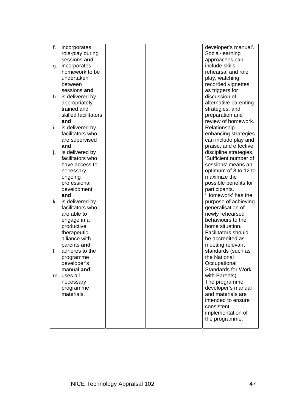| f. | incorporates          |  | developer's manual'.       |
|----|-----------------------|--|----------------------------|
|    | role-play during      |  | Social-learning            |
|    | sessions and          |  | approaches can             |
|    | incorporates<br>g.    |  | include skills             |
|    | homework to be        |  | rehearsal and role         |
|    | undertaken            |  | play, watching             |
|    | between               |  | recorded vignettes         |
|    | sessions and          |  | as triggers for            |
|    | h. is delivered by    |  | discussion of              |
|    |                       |  |                            |
|    | appropriately         |  | alternative parenting      |
|    | trained and           |  | strategies, and            |
|    | skilled facilitators  |  | preparation and            |
|    | and                   |  | review of homework.        |
| i. | is delivered by       |  | Relationship-              |
|    | facilitators who      |  | enhancing strategies       |
|    | are supervised        |  | can include play and       |
|    | and                   |  | praise, and effective      |
| j. | is delivered by       |  | discipline strategies.     |
|    | facilitators who      |  | 'Sufficient number of      |
|    | have access to        |  | sessions' means an         |
|    | necessary             |  | optimum of 8 to 12 to      |
|    | ongoing               |  | maximize the               |
|    | professional          |  | possible benefits for      |
|    | development           |  | participants.              |
|    | and                   |  | 'Homework' has the         |
|    | is delivered by<br>k. |  | purpose of achieving       |
|    | facilitators who      |  | generalisation of          |
|    | are able to           |  | newly rehearsed            |
|    | engage in a           |  | behaviours to the          |
|    | productive            |  | home situation.            |
|    |                       |  | <b>Facilitators should</b> |
|    | therapeutic           |  | be accredited as           |
|    | alliance with         |  |                            |
|    | parents and           |  | meeting relevant           |
| I. | adheres to the        |  | standards (such as         |
|    | programme             |  | the National               |
|    | developer's           |  | Occupational               |
|    | manual and            |  | <b>Standards for Work</b>  |
|    | m. uses all           |  | with Parents).             |
|    | necessary             |  | The programme              |
|    | programme             |  | developer's manual         |
|    | materials.            |  | and materials are          |
|    |                       |  | intended to ensure         |
|    |                       |  | consistent                 |
|    |                       |  | implementation of          |
|    |                       |  | the programme.             |
|    |                       |  |                            |
|    |                       |  |                            |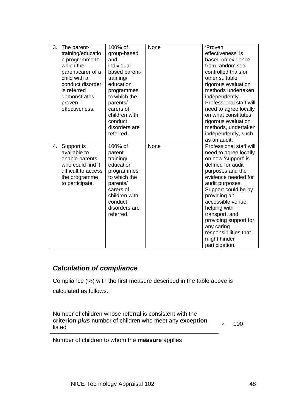| 3. | The parent-         | 100% of       | None | 'Proven                 |
|----|---------------------|---------------|------|-------------------------|
|    | training/educatio   | group-based   |      | effectiveness' is       |
|    | n programme to      | and           |      | based on evidence       |
|    | which the           | individual-   |      | from randomised         |
|    | parent/carer of a   | based parent- |      | controlled trials or    |
|    | child with a        | training/     |      | other suitable          |
|    | conduct disorder    | education     |      | rigorous evaluation     |
|    | is referred         | programmes    |      | methods undertaken      |
|    | demonstrates        | to which the  |      | independently.          |
|    | proven              | parents/      |      | Professional staff will |
|    | effectiveness.      | carers of     |      | need to agree locally   |
|    |                     | children with |      | on what constitutes     |
|    |                     | conduct       |      | rigorous evaluation     |
|    |                     | disorders are |      | methods, undertaken     |
|    |                     | referred.     |      | independently, such     |
|    |                     |               |      | as an audit.            |
| 4. | Support is          | 100% of       | None | Professional staff will |
|    | available to        | parent-       |      | need to agree locally   |
|    | enable parents      | training/     |      | on how 'support' is     |
|    | who could find it   | education     |      | defined for audit       |
|    | difficult to access | programmes    |      | purposes and the        |
|    | the programme       | to which the  |      | evidence needed for     |
|    | to participate.     | parents/      |      | audit purposes.         |
|    |                     | carers of     |      | Support could be by     |
|    |                     | children with |      | providing an            |
|    |                     | conduct       |      | accessible venue,       |
|    |                     | disorders are |      | helping with            |
|    |                     | referred.     |      | transport, and          |
|    |                     |               |      | providing support for   |
|    |                     |               |      | any caring              |
|    |                     |               |      | responsibilities that   |
|    |                     |               |      | might hinder            |
|    |                     |               |      | participation.          |

### *Calculation of compliance*

Compliance (%) with the first measure described in the table above is calculated as follows.

Number of children whose referral is consistent with the **criterion** *plus* number of children who meet any **exception**  $\times$  100

Number of children to whom the **measure** applies